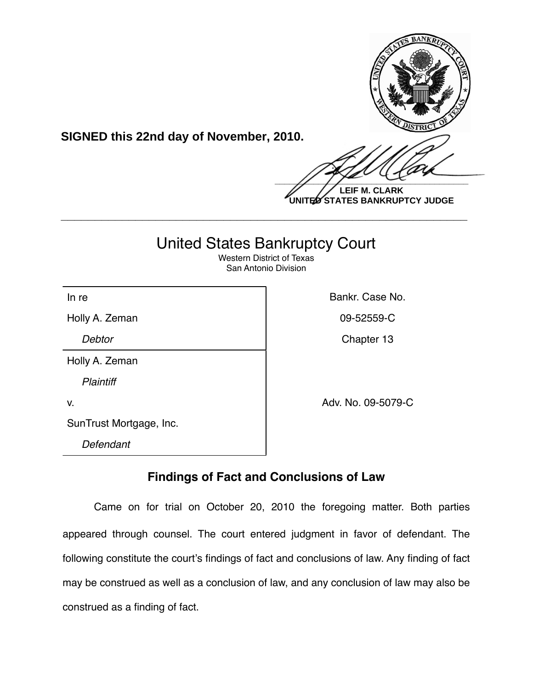

**SIGNED this 22nd day of November, 2010.**

 $\frac{1}{2}$ 

**LEIF M. CLARK UNITED STATES BANKRUPTCY JUDGE**

# United States Bankruptcy Court

**\_\_\_\_\_\_\_\_\_\_\_\_\_\_\_\_\_\_\_\_\_\_\_\_\_\_\_\_\_\_\_\_\_\_\_\_\_\_\_\_\_\_\_\_\_\_\_\_\_\_\_\_\_\_\_\_\_\_\_\_**

Western District of Texas San Antonio Division

In re **Bankr.** Case No.

Holly A. Zeman 09-52559-C

**Debtor** Chapter 13

Holly A. Zeman *Plaintiff*

v. Adv. No. 09-5079-C

SunTrust Mortgage, Inc.

*Defendant*

## **Findings of Fact and Conclusions of Law**

Came on for trial on October 20, 2010 the foregoing matter. Both parties appeared through counsel. The court entered judgment in favor of defendant. The following constitute the court's findings of fact and conclusions of law. Any finding of fact may be construed as well as a conclusion of law, and any conclusion of law may also be construed as a finding of fact.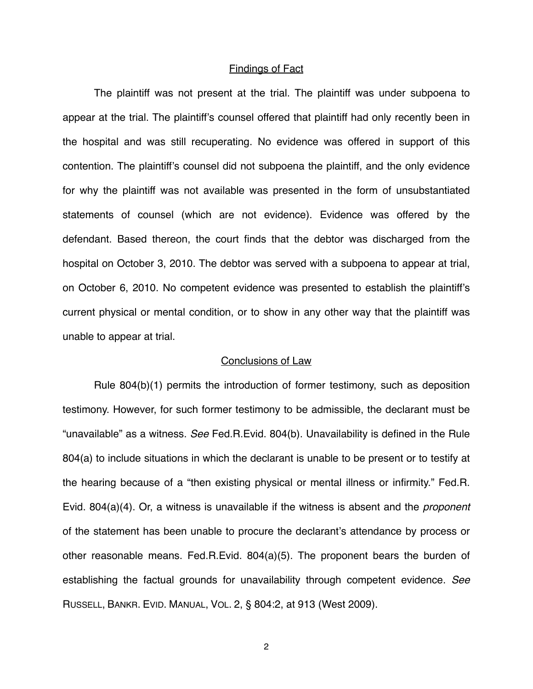#### Findings of Fact

The plaintiff was not present at the trial. The plaintiff was under subpoena to appear at the trial. The plaintiff's counsel offered that plaintiff had only recently been in the hospital and was still recuperating. No evidence was offered in support of this contention. The plaintiff's counsel did not subpoena the plaintiff, and the only evidence for why the plaintiff was not available was presented in the form of unsubstantiated statements of counsel (which are not evidence). Evidence was offered by the defendant. Based thereon, the court finds that the debtor was discharged from the hospital on October 3, 2010. The debtor was served with a subpoena to appear at trial, on October 6, 2010. No competent evidence was presented to establish the plaintiff's current physical or mental condition, or to show in any other way that the plaintiff was unable to appear at trial.

#### Conclusions of Law

Rule 804(b)(1) permits the introduction of former testimony, such as deposition testimony. However, for such former testimony to be admissible, the declarant must be "unavailable" as a witness. *See* Fed.R.Evid. 804(b). Unavailability is defined in the Rule 804(a) to include situations in which the declarant is unable to be present or to testify at the hearing because of a "then existing physical or mental illness or infirmity." Fed.R. Evid. 804(a)(4). Or, a witness is unavailable if the witness is absent and the *proponent*  of the statement has been unable to procure the declarant's attendance by process or other reasonable means. Fed.R.Evid. 804(a)(5). The proponent bears the burden of establishing the factual grounds for unavailability through competent evidence. *See*  RUSSELL, BANKR. EVID. MANUAL, VOL. 2, § 804:2, at 913 (West 2009).

2